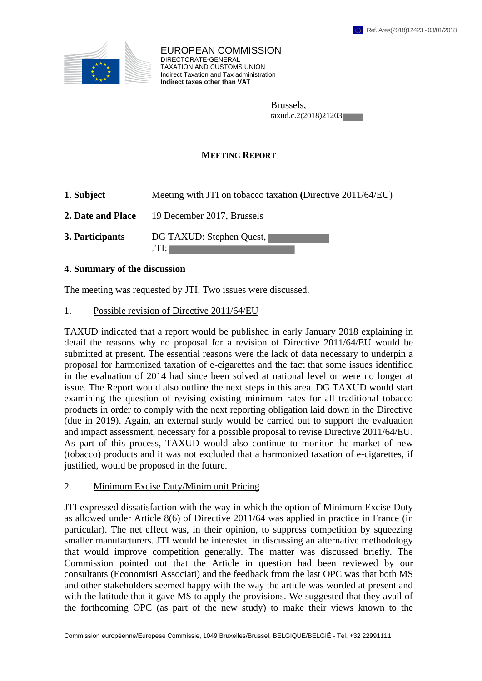

EUROPEAN COMMISSION DIRECTORATE-GENERAL TAXATION AND CUSTOMS UNION Indirect Taxation and Tax administration **Indirect taxes other than VAT**

> Brussels, taxud.c.2(2018)21203

## **MEETING REPORT**

| 1. Subject        | Meeting with JTI on tobacco taxation (Directive 2011/64/EU) |
|-------------------|-------------------------------------------------------------|
| 2. Date and Place | 19 December 2017, Brussels                                  |
| 3. Participants   | DG TAXUD: Stephen Quest,<br>JTI:1                           |

## **4. Summary of the discussion**

The meeting was requested by JTI. Two issues were discussed.

## 1. Possible revision of Directive 2011/64/EU

TAXUD indicated that a report would be published in early January 2018 explaining in detail the reasons why no proposal for a revision of Directive 2011/64/EU would be submitted at present. The essential reasons were the lack of data necessary to underpin a proposal for harmonized taxation of e-cigarettes and the fact that some issues identified in the evaluation of 2014 had since been solved at national level or were no longer at issue. The Report would also outline the next steps in this area. DG TAXUD would start examining the question of revising existing minimum rates for all traditional tobacco products in order to comply with the next reporting obligation laid down in the Directive (due in 2019). Again, an external study would be carried out to support the evaluation and impact assessment, necessary for a possible proposal to revise Directive 2011/64/EU. As part of this process, TAXUD would also continue to monitor the market of new (tobacco) products and it was not excluded that a harmonized taxation of e-cigarettes, if justified, would be proposed in the future.

## 2. Minimum Excise Duty/Minim unit Pricing

JTI expressed dissatisfaction with the way in which the option of Minimum Excise Duty as allowed under Article 8(6) of Directive 2011/64 was applied in practice in France (in particular). The net effect was, in their opinion, to suppress competition by squeezing smaller manufacturers. JTI would be interested in discussing an alternative methodology that would improve competition generally. The matter was discussed briefly. The Commission pointed out that the Article in question had been reviewed by our consultants (Economisti Associati) and the feedback from the last OPC was that both MS and other stakeholders seemed happy with the way the article was worded at present and with the latitude that it gave MS to apply the provisions. We suggested that they avail of the forthcoming OPC (as part of the new study) to make their views known to the